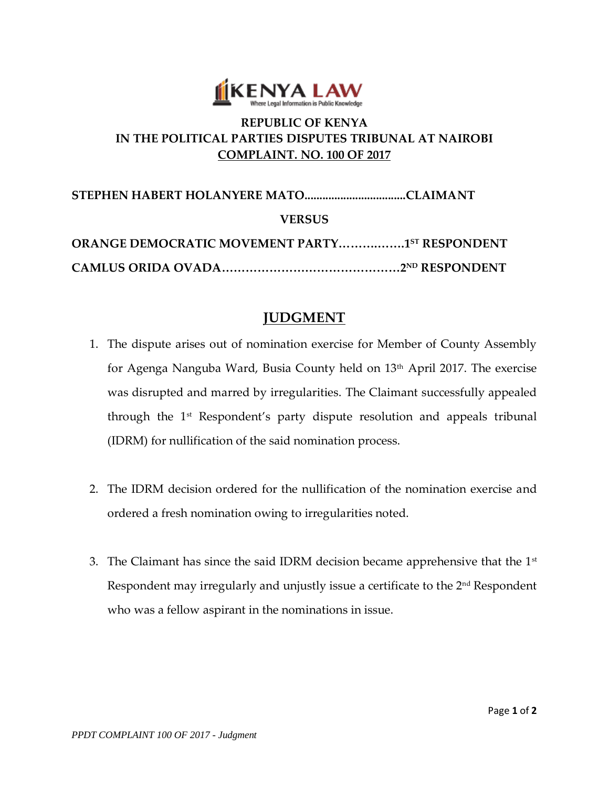

## **REPUBLIC OF KENYA IN THE POLITICAL PARTIES DISPUTES TRIBUNAL AT NAIROBI COMPLAINT. NO. 100 OF 2017**

**STEPHEN HABERT HOLANYERE MATO..................................CLAIMANT VERSUS ORANGE DEMOCRATIC MOVEMENT PARTY……….…….1 ST RESPONDENT CAMLUS ORIDA OVADA………………………………………2ND RESPONDENT**

## **JUDGMENT**

- 1. The dispute arises out of nomination exercise for Member of County Assembly for Agenga Nanguba Ward, Busia County held on 13<sup>th</sup> April 2017. The exercise was disrupted and marred by irregularities. The Claimant successfully appealed through the 1st Respondent's party dispute resolution and appeals tribunal (IDRM) for nullification of the said nomination process.
- 2. The IDRM decision ordered for the nullification of the nomination exercise and ordered a fresh nomination owing to irregularities noted.
- 3. The Claimant has since the said IDRM decision became apprehensive that the  $1<sup>st</sup>$ Respondent may irregularly and unjustly issue a certificate to the 2<sup>nd</sup> Respondent who was a fellow aspirant in the nominations in issue.